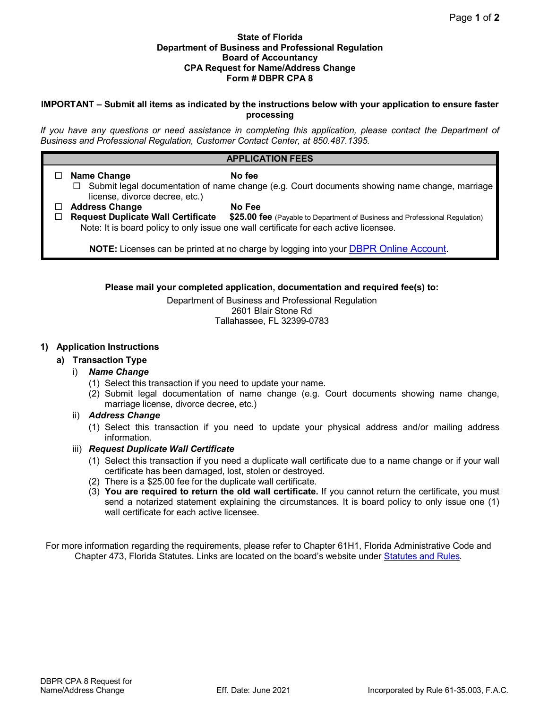### **State of Florida Department of Business and Professional Regulation Board of Accountancy CPA Request for Name/Address Change Form # DBPR CPA 8**

## **IMPORTANT – Submit all items as indicated by the instructions below with your application to ensure faster processing**

*If you have any questions or need assistance in completing this application, please contact the Department of Business and Professional Regulation, Customer Contact Center, at 850.487.1395.*

# **APPLICATION FEES**

□ Name Change No fee  $\Box$  Submit legal documentation of name change (e.g. Court documents showing name change, marriage license, divorce decree, etc.) **Address Change No Fee** \$25.00 fee (Payable to Department of Business and Professional Regulation) Note: It is board policy to only issue one wall certificate for each active licensee. **NOTE:** Licenses can be printed at no charge by logging into your [DBPR Online Account.](https://www.myfloridalicense.com/datamart/loginFLDBPR.do;jsessionid=86A8074AB0135BA17DDEA4245FE2577F.vo_fldbprm%22)

## **Please mail your completed application, documentation and required fee(s) to:**

Department of Business and Professional Regulation 2601 Blair Stone Rd Tallahassee, FL 32399-0783

## **1) Application Instructions**

# **a) Transaction Type**

## i) *Name Change*

- (1) Select this transaction if you need to update your name.
- (2) Submit legal documentation of name change (e.g. Court documents showing name change, marriage license, divorce decree, etc.)

### ii) *Address Change*

- (1) Select this transaction if you need to update your physical address and/or mailing address information.
- iii) *Request Duplicate Wall Certificate*
	- (1) Select this transaction if you need a duplicate wall certificate due to a name change or if your wall certificate has been damaged, lost, stolen or destroyed.
	- (2) There is a \$25.00 fee for the duplicate wall certificate.
	- (3) **You are required to return the old wall certificate.** If you cannot return the certificate, you must send a notarized statement explaining the circumstances. It is board policy to only issue one (1) wall certificate for each active licensee.

For more information regarding the requirements, please refer to Chapter 61H1, Florida Administrative Code and Chapter 473, Florida Statutes. Links are located on the board's website under [Statutes and Rules.](http://www.myfloridalicense.com/DBPR/certified-public-accounting/statutes-and-rules/)